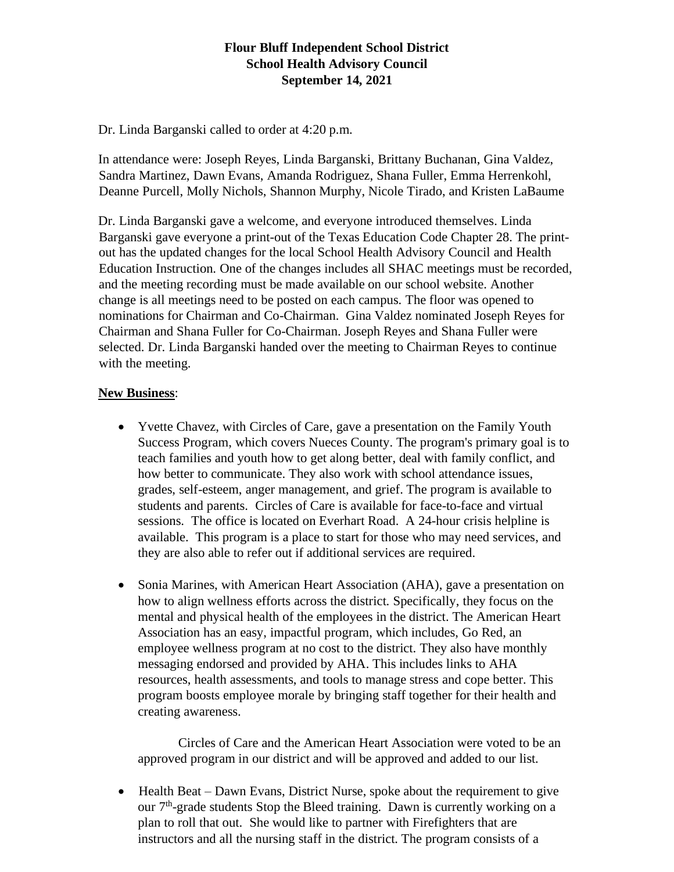# **Flour Bluff Independent School District School Health Advisory Council September 14, 2021**

Dr. Linda Barganski called to order at 4:20 p.m.

In attendance were: Joseph Reyes, Linda Barganski, Brittany Buchanan, Gina Valdez, Sandra Martinez, Dawn Evans, Amanda Rodriguez, Shana Fuller, Emma Herrenkohl, Deanne Purcell, Molly Nichols, Shannon Murphy, Nicole Tirado, and Kristen LaBaume

Dr. Linda Barganski gave a welcome, and everyone introduced themselves. Linda Barganski gave everyone a print-out of the Texas Education Code Chapter 28. The printout has the updated changes for the local School Health Advisory Council and Health Education Instruction. One of the changes includes all SHAC meetings must be recorded, and the meeting recording must be made available on our school website. Another change is all meetings need to be posted on each campus. The floor was opened to nominations for Chairman and Co-Chairman. Gina Valdez nominated Joseph Reyes for Chairman and Shana Fuller for Co-Chairman. Joseph Reyes and Shana Fuller were selected. Dr. Linda Barganski handed over the meeting to Chairman Reyes to continue with the meeting.

# **New Business**:

- Yvette Chavez, with Circles of Care, gave a presentation on the Family Youth Success Program, which covers Nueces County. The program's primary goal is to teach families and youth how to get along better, deal with family conflict, and how better to communicate. They also work with school attendance issues, grades, self-esteem, anger management, and grief. The program is available to students and parents. Circles of Care is available for face-to-face and virtual sessions. The office is located on Everhart Road. A 24-hour crisis helpline is available. This program is a place to start for those who may need services, and they are also able to refer out if additional services are required.
- Sonia Marines, with American Heart Association (AHA), gave a presentation on how to align wellness efforts across the district. Specifically, they focus on the mental and physical health of the employees in the district. The American Heart Association has an easy, impactful program, which includes, Go Red, an employee wellness program at no cost to the district. They also have monthly messaging endorsed and provided by AHA. This includes links to AHA resources, health assessments, and tools to manage stress and cope better. This program boosts employee morale by bringing staff together for their health and creating awareness.

Circles of Care and the American Heart Association were voted to be an approved program in our district and will be approved and added to our list.

• Health Beat – Dawn Evans, District Nurse, spoke about the requirement to give our  $7<sup>th</sup>$ -grade students Stop the Bleed training. Dawn is currently working on a plan to roll that out. She would like to partner with Firefighters that are instructors and all the nursing staff in the district. The program consists of a